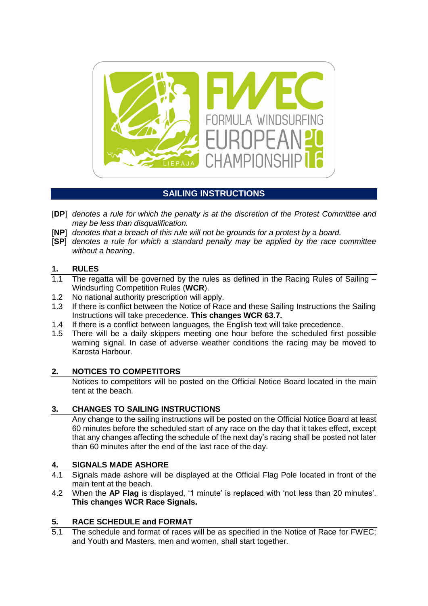

# **SAILING INSTRUCTIONS**

- [**DP**] *denotes a rule for which the penalty is at the discretion of the Protest Committee and may be less than disqualification.*
- [**NP**] *denotes that a breach of this rule will not be grounds for a protest by a board.*
- [**SP**] *denotes a rule for which a standard penalty may be applied by the race committee without a hearing*.

## **1. RULES**

- 1.1 The regatta will be governed by the rules as defined in the Racing Rules of Sailing Windsurfing Competition Rules (**WCR**).
- 1.2 No national authority prescription will apply.
- 1.3 If there is conflict between the Notice of Race and these Sailing Instructions the Sailing Instructions will take precedence. **This changes WCR 63.7.**
- 1.4 If there is a conflict between languages, the English text will take precedence.
- 1.5 There will be a daily skippers meeting one hour before the scheduled first possible warning signal. In case of adverse weather conditions the racing may be moved to Karosta Harbour.

## **2. NOTICES TO COMPETITORS**

Notices to competitors will be posted on the Official Notice Board located in the main tent at the beach.

## **3. CHANGES TO SAILING INSTRUCTIONS**

Any change to the sailing instructions will be posted on the Official Notice Board at least 60 minutes before the scheduled start of any race on the day that it takes effect, except that any changes affecting the schedule of the next day's racing shall be posted not later than 60 minutes after the end of the last race of the day.

## **4. SIGNALS MADE ASHORE**

- 4.1 Signals made ashore will be displayed at the Official Flag Pole located in front of the main tent at the beach.
- 4.2 When the **AP Flag** is displayed, '1 minute' is replaced with 'not less than 20 minutes'. **This changes WCR Race Signals.**

## **5. RACE SCHEDULE and FORMAT**

5.1 The schedule and format of races will be as specified in the Notice of Race for FWEC; and Youth and Masters, men and women, shall start together.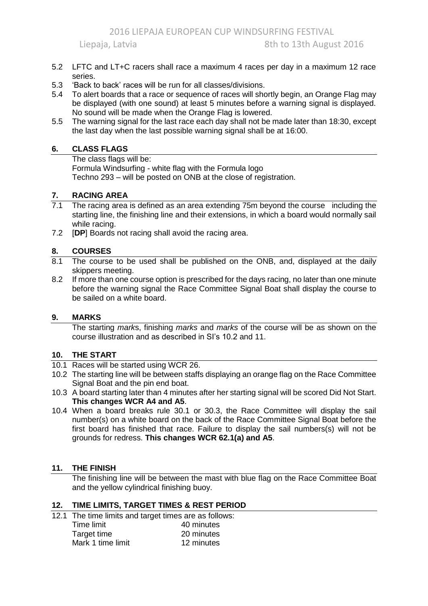- 5.2 LFTC and LT+C racers shall race a maximum 4 races per day in a maximum 12 race series.
- 5.3 'Back to back' races will be run for all classes/divisions.
- 5.4 To alert boards that a race or sequence of races will shortly begin, an Orange Flag may be displayed (with one sound) at least 5 minutes before a warning signal is displayed. No sound will be made when the Orange Flag is lowered.
- 5.5 The warning signal for the last race each day shall not be made later than 18:30, except the last day when the last possible warning signal shall be at 16:00.

#### **6. CLASS FLAGS**

The class flags will be: Formula Windsurfing - white flag with the Formula logo Techno 293 – will be posted on ONB at the close of registration.

#### **7. RACING AREA**

- 7.1 The racing area is defined as an area extending 75m beyond the course including the starting line, the finishing line and their extensions, in which a board would normally sail while racing.
- 7.2 [**DP**] Boards not racing shall avoid the racing area.

## **8. COURSES**

- 8.1 The course to be used shall be published on the ONB, and, displayed at the daily skippers meeting.
- 8.2 If more than one course option is prescribed for the days racing, no later than one minute before the warning signal the Race Committee Signal Boat shall display the course to be sailed on a white board.

#### **9. MARKS**

The starting *mark*s, finishing *marks* and *marks* of the course will be as shown on the course illustration and as described in SI's 10.2 and 11.

#### **10. THE START**

- 10.1 Races will be started using WCR 26.
- 10.2 The starting line will be between staffs displaying an orange flag on the Race Committee Signal Boat and the pin end boat.
- 10.3 A board starting later than 4 minutes after her starting signal will be scored Did Not Start. **This changes WCR A4 and A5**.
- 10.4 When a board breaks rule 30.1 or 30.3, the Race Committee will display the sail number(s) on a white board on the back of the Race Committee Signal Boat before the first board has finished that race. Failure to display the sail numbers(s) will not be grounds for redress. **This changes WCR 62.1(a) and A5**.

#### **11. THE FINISH**

The finishing line will be between the mast with blue flag on the Race Committee Boat and the yellow cylindrical finishing buoy.

#### **12. TIME LIMITS, TARGET TIMES & REST PERIOD**

- 12.1 The time limits and target times are as follows:
	- Time limit **40 minutes** Target time<br>
	Mark 1 time limit<br>
	12 minutes Mark 1 time limit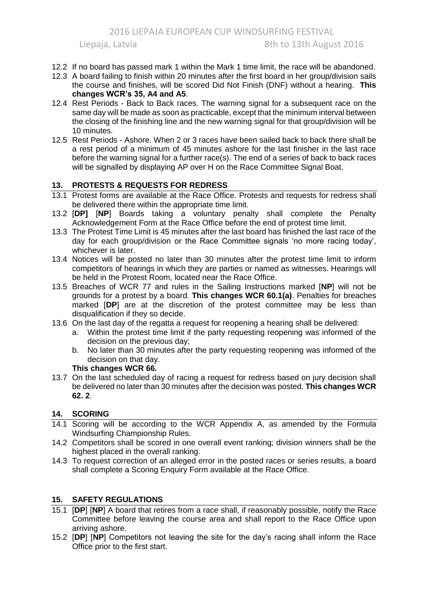- 12.2 If no board has passed mark 1 within the Mark 1 time limit, the race will be abandoned.
- 12.3 A board failing to finish within 20 minutes after the first board in her group/division sails the course and finishes, will be scored Did Not Finish (DNF) without a hearing. **This changes WCR's 35, A4 and A5**.
- 12.4 Rest Periods Back to Back races. The warning signal for a subsequent race on the same day will be made as soon as practicable, except that the minimum interval between the closing of the finishing line and the new warning signal for that group/division will be 10 minutes.
- 12.5 Rest Periods Ashore. When 2 or 3 races have been sailed back to back there shall be a rest period of a minimum of 45 minutes ashore for the last finisher in the last race before the warning signal for a further race(s). The end of a series of back to back races will be signalled by displaying AP over H on the Race Committee Signal Boat.

## **13. PROTESTS & REQUESTS FOR REDRESS**

- 13.1 Protest forms are available at the Race Office. Protests and requests for redress shall be delivered there within the appropriate time limit.
- 13.2 [**DP]** [**NP**] Boards taking a voluntary penalty shall complete the Penalty Acknowledgement Form at the Race Office before the end of protest time limit.
- 13.3 The Protest Time Limit is 45 minutes after the last board has finished the last race of the day for each group/division or the Race Committee signals 'no more racing today', whichever is later.
- 13.4 Notices will be posted no later than 30 minutes after the protest time limit to inform competitors of hearings in which they are parties or named as witnesses. Hearings will be held in the Protest Room, located near the Race Office.
- 13.5 Breaches of WCR 77 and rules in the Sailing Instructions marked [**NP**] will not be grounds for a protest by a board. **This changes WCR 60.1(a)**. Penalties for breaches marked [**DP**] are at the discretion of the protest committee may be less than disqualification if they so decide.
- 13.6 On the last day of the regatta a request for reopening a hearing shall be delivered:
	- a. Within the protest time limit if the party requesting reopening was informed of the decision on the previous day;
	- b. No later than 30 minutes after the party requesting reopening was informed of the decision on that day.

### **This changes WCR 66.**

13.7 On the last scheduled day of racing a request for redress based on jury decision shall be delivered no later than 30 minutes after the decision was posted. **This changes WCR 62. 2**.

## **14. SCORING**

- 14.1 Scoring will be according to the WCR Appendix A, as amended by the Formula Windsurfing Championship Rules.
- 14.2 Competitors shall be scored in one overall event ranking; division winners shall be the highest placed in the overall ranking.
- 14.3 To request correction of an alleged error in the posted races or series results, a board shall complete a Scoring Enquiry Form available at the Race Office.

## **15. SAFETY REGULATIONS**

- 15.1 [**DP**] [**NP**] A board that retires from a race shall, if reasonably possible, notify the Race Committee before leaving the course area and shall report to the Race Office upon arriving ashore.
- 15.2 [**DP**] [**NP**] Competitors not leaving the site for the day's racing shall inform the Race Office prior to the first start.